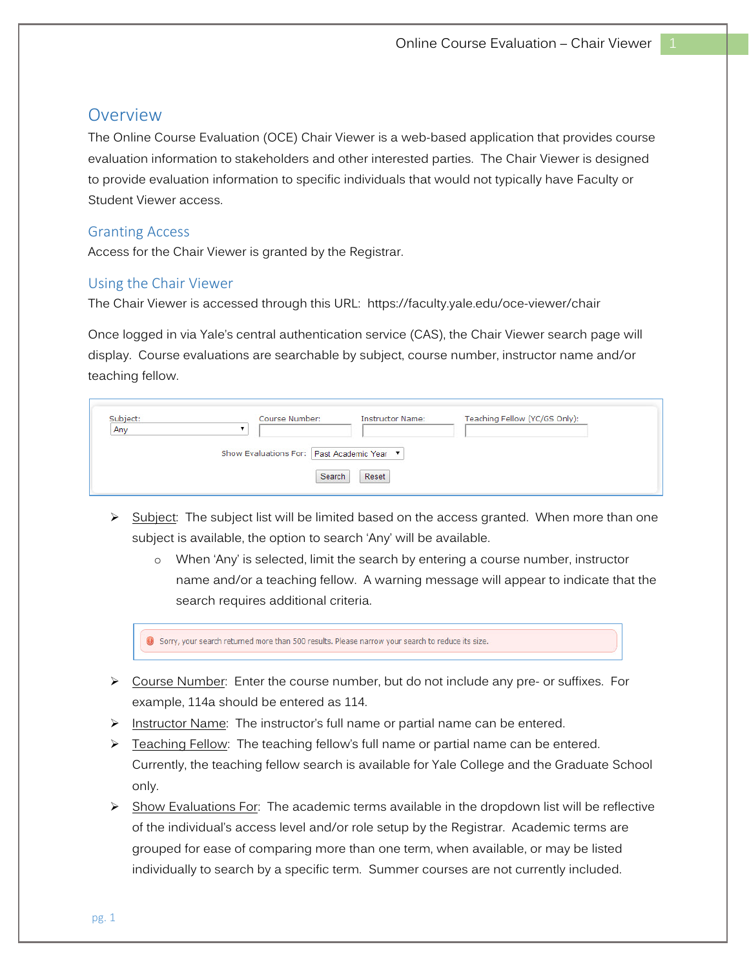# Overview

The Online Course Evaluation (OCE) Chair Viewer is a web-based application that provides course evaluation information to stakeholders and other interested parties. The Chair Viewer is designed to provide evaluation information to specific individuals that would not typically have Faculty or Student Viewer access.

### Granting Access

Access for the Chair Viewer is granted by the Registrar.

#### Using the Chair Viewer

The Chair Viewer is accessed through this URL: https://faculty.yale.edu/oce-viewer/chair

Once logged in via Yale's central authentication service (CAS), the Chair Viewer search page will display. Course evaluations are searchable by subject, course number, instructor name and/or teaching fellow.

| Subject:<br>Any<br>- 622 | Course Number:                             | <b>Instructor Name:</b> | Teaching Fellow (YC/GS Only): |  |
|--------------------------|--------------------------------------------|-------------------------|-------------------------------|--|
|                          | Show Evaluations For: Past Academic Year ▼ |                         |                               |  |
|                          | <b>Search</b>                              | Reset                   |                               |  |

- $\triangleright$  Subject: The subject list will be limited based on the access granted. When more than one subject is available, the option to search 'Any' will be available.
	- o When 'Any' is selected, limit the search by entering a course number, instructor name and/or a teaching fellow. A warning message will appear to indicate that the search requires additional criteria.



- $\triangleright$  Course Number: Enter the course number, but do not include any pre- or suffixes. For example, 114a should be entered as 114.
- ▶ Instructor Name: The instructor's full name or partial name can be entered.
- $\triangleright$  Teaching Fellow: The teaching fellow's full name or partial name can be entered. Currently, the teaching fellow search is available for Yale College and the Graduate School only.
- $\triangleright$  Show Evaluations For: The academic terms available in the dropdown list will be reflective of the individual's access level and/or role setup by the Registrar. Academic terms are grouped for ease of comparing more than one term, when available, or may be listed individually to search by a specific term. Summer courses are not currently included.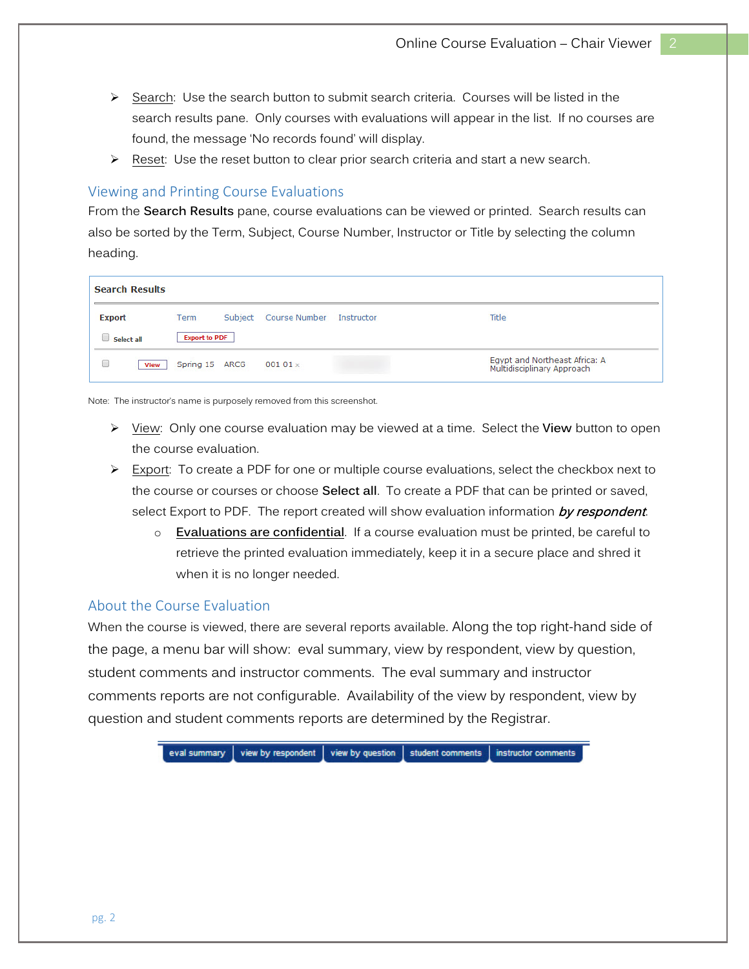- $\triangleright$  Search: Use the search button to submit search criteria. Courses will be listed in the search results pane. Only courses with evaluations will appear in the list. If no courses are found, the message 'No records found' will display.
- $\triangleright$  Reset: Use the reset button to clear prior search criteria and start a new search.

#### Viewing and Printing Course Evaluations

From the **Search Results** pane, course evaluations can be viewed or printed. Search results can also be sorted by the Term, Subject, Course Number, Instructor or Title by selecting the column heading.

| <b>Search Results</b> |                      |         |                      |            |                                                             |  |  |
|-----------------------|----------------------|---------|----------------------|------------|-------------------------------------------------------------|--|--|
| <b>Export</b>         | Term                 | Subject | <b>Course Number</b> | Instructor | Title                                                       |  |  |
| Select all            | <b>Export to PDF</b> |         |                      |            |                                                             |  |  |
| <b>View</b>           | Spring 15 ARCG       |         | $00101 \times$       |            | Egypt and Northeast Africa: A<br>Multidisciplinary Approach |  |  |

Note: The instructor's name is purposely removed from this screenshot.

- ¾ View: Only one course evaluation may be viewed at a time. Select the **View** button to open the course evaluation.
- $\triangleright$  Export: To create a PDF for one or multiple course evaluations, select the checkbox next to the course or courses or choose **Select all**.To create a PDF that can be printed or saved, select Export to PDF. The report created will show evaluation information by respondent.
	- **Evaluations are confidential**. If a course evaluation must be printed, be careful to retrieve the printed evaluation immediately, keep it in a secure place and shred it when it is no longer needed.

## About the Course Evaluation

When the course is viewed, there are several reports available. Along the top right-hand side of the page, a menu bar will show: eval summary, view by respondent, view by question, student comments and instructor comments. The eval summary and instructor comments reports are not configurable. Availability of the view by respondent, view by question and student comments reports are determined by the Registrar.

> eval summary view by respondent view by question student comments instructor comments